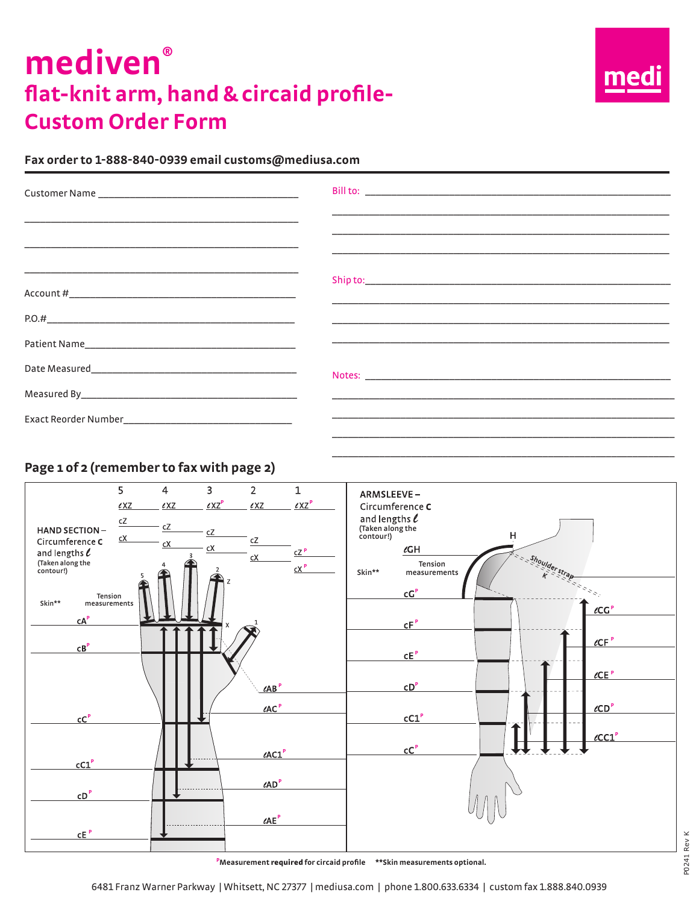# mediven<sup>®</sup> flat-knit arm, hand & circaid profile-**Custom Order Form**



#### Fax order to 1-888-840-0939 email customs@mediusa.com

| <u> 1999 - Jan Alexandri, martin amerikan bahasa dalam kemanan bahasa dalam kemanan dalam kemanan dalam kemanan da</u> |
|------------------------------------------------------------------------------------------------------------------------|
| <u> 1990 - Jan Andrea Stein, amerikan berlandar (h. 1980).</u>                                                         |
|                                                                                                                        |
| <u> 1980 - Jan Alexander de Carlos III (m. 1980)</u>                                                                   |
|                                                                                                                        |
|                                                                                                                        |

### Page 1 of 2 (remember to fax with page 2)

|                                                                                                                                                                                                                                     | 5<br>$\ell$ XZ               | $\overline{4}$<br>$\ell$ XZ | $\overline{3}$<br>$\ell$ XZ <sup>P</sup> | $\overline{2}$<br>$\ell$ XZ                                                                                                  | $\mathbf 1$<br>$\ell$ XZ <sup>P</sup>  | ARMSLEEVE-                                                                                                                                                                                                                                                                                                                                                      |
|-------------------------------------------------------------------------------------------------------------------------------------------------------------------------------------------------------------------------------------|------------------------------|-----------------------------|------------------------------------------|------------------------------------------------------------------------------------------------------------------------------|----------------------------------------|-----------------------------------------------------------------------------------------------------------------------------------------------------------------------------------------------------------------------------------------------------------------------------------------------------------------------------------------------------------------|
| <b>HAND SECTION-</b><br>Circumference C<br>and lengths $\ell$<br>(Taken along the<br>contour!)<br>Tension<br>Skin**<br>measurements<br>cA <sup>P</sup><br>CB <sup>P</sup><br>cC <sup>P</sup><br>cC1 <sup>P</sup><br>CD <sup>P</sup> | $\mathsf{c}\mathsf{Z}$<br>cX | сZ<br>cX                    | cZ<br>$\mathsf{c}\mathsf{X}$<br>X        | cZ<br>cX<br>$\angle A B$ <sup>P</sup><br>$\ell$ AC $P$<br>$\ell$ AC1 $P$<br>$\ell AD$ <sup>P</sup><br>$\ell AE$ <sup>P</sup> | $cZ$ <sup>P</sup><br>$cX$ <sup>P</sup> | Circumference $c$<br>and lengths $\ell$<br>(Taken along the<br>contour!)<br>H<br>$\ell G H$<br>shoulder strap<br>Tension<br>Skin**<br>measurements<br>cG <sup>P</sup><br>$\ell CG^P$<br>CF <sup>P</sup><br>$\ell$ CF $P$<br>$\tt CE$ P<br>$\ell$ CE $P$<br>CD <sup>P</sup><br>$\ell$ CD <sup>P</sup><br>cC1 <sup>P</sup><br>$\ell$ CC1 $P$<br>$\overline{CC}^P$ |
| $CE^P$                                                                                                                                                                                                                              |                              |                             |                                          |                                                                                                                              |                                        |                                                                                                                                                                                                                                                                                                                                                                 |

<sup>P</sup>Measurement required for circaid profile \*\* Skin measurements optional.